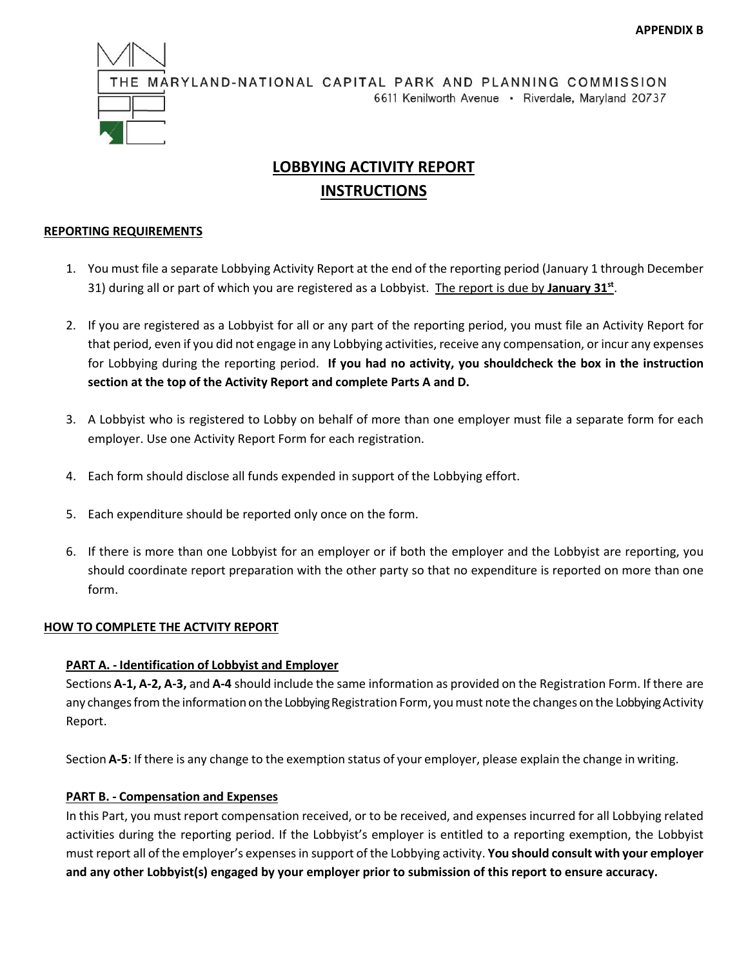

# **LOBBYING ACTIVITY REPORT INSTRUCTIONS**

# **REPORTING REQUIREMENTS**

- 1. You must file a separate Lobbying Activity Report at the end of the reporting period (January 1 through December 31) during all or part of which you are registered as a Lobbyist. The report is due by **January 31st**.
- 2. If you are registered as a Lobbyist for all or any part of the reporting period, you must file an Activity Report for that period, even if you did not engage in any Lobbying activities, receive any compensation, or incur any expenses for Lobbying during the reporting period. **If you had no activity, you shouldcheck the box in the instruction section at the top of the Activity Report and complete Parts A and D.**
- 3. A Lobbyist who is registered to Lobby on behalf of more than one employer must file a separate form for each employer. Use one Activity Report Form for each registration.
- 4. Each form should disclose all funds expended in support of the Lobbying effort.
- 5. Each expenditure should be reported only once on the form.
- 6. If there is more than one Lobbyist for an employer or if both the employer and the Lobbyist are reporting, you should coordinate report preparation with the other party so that no expenditure is reported on more than one form.

# **HOW TO COMPLETE THE ACTVITY REPORT**

# **PART A. - Identification of Lobbyist and Employer**

Sections **A-1, A-2, A-3,** and **A-4** should include the same information as provided on the Registration Form. If there are any changes from the information on the Lobbying Registration Form, you must note the changes on the Lobbying Activity Report.

Section **A-5**: If there is any change to the exemption status of your employer, please explain the change in writing.

# **PART B. - Compensation and Expenses**

In this Part, you must report compensation received, or to be received, and expenses incurred for all Lobbying related activities during the reporting period. If the Lobbyist's employer is entitled to a reporting exemption, the Lobbyist must report all of the employer's expenses in support of the Lobbying activity. **You should consult with your employer and any other Lobbyist(s) engaged by your employer prior to submission of this report to ensure accuracy.**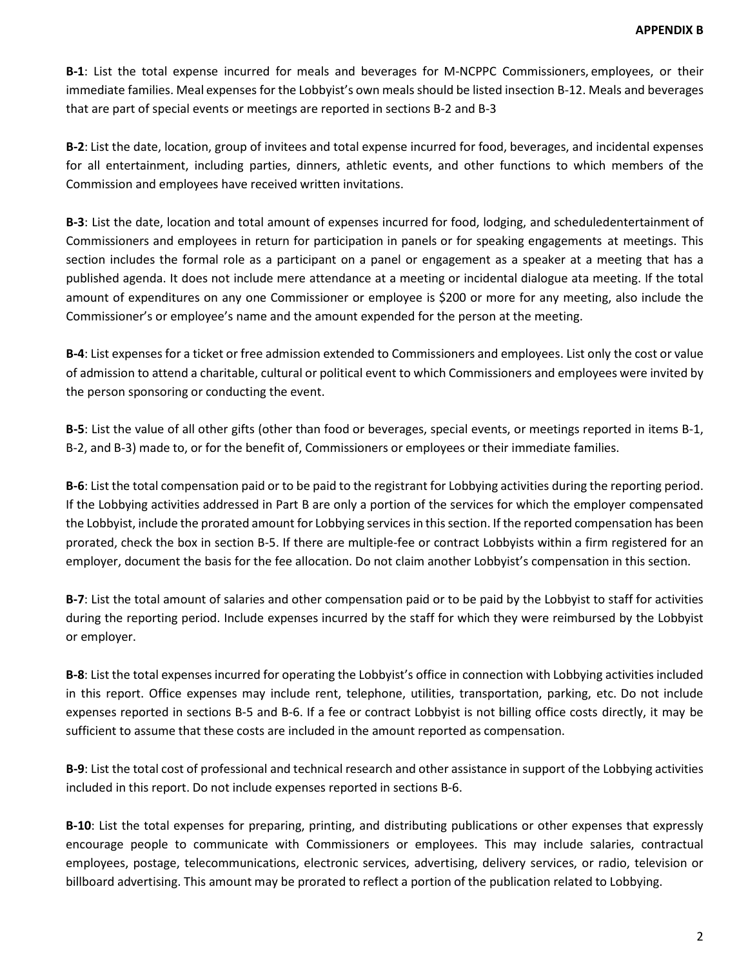**B-1**: List the total expense incurred for meals and beverages for M-NCPPC Commissioners, employees, or their immediate families. Meal expenses for the Lobbyist's own meals should be listed insection B-12. Meals and beverages that are part of special events or meetings are reported in sections B-2 and B-3

**B-2**: List the date, location, group of invitees and total expense incurred for food, beverages, and incidental expenses for all entertainment, including parties, dinners, athletic events, and other functions to which members of the Commission and employees have received written invitations.

**B-3**: List the date, location and total amount of expenses incurred for food, lodging, and scheduledentertainment of Commissioners and employees in return for participation in panels or for speaking engagements at meetings. This section includes the formal role as a participant on a panel or engagement as a speaker at a meeting that has a published agenda. It does not include mere attendance at a meeting or incidental dialogue ata meeting. If the total amount of expenditures on any one Commissioner or employee is \$200 or more for any meeting, also include the Commissioner's or employee's name and the amount expended for the person at the meeting.

**B-4**: List expenses for a ticket or free admission extended to Commissioners and employees. List only the cost or value of admission to attend a charitable, cultural or political event to which Commissioners and employees were invited by the person sponsoring or conducting the event.

**B-5**: List the value of all other gifts (other than food or beverages, special events, or meetings reported in items B-1, B-2, and B-3) made to, or for the benefit of, Commissioners or employees or their immediate families.

**B-6**: List the total compensation paid or to be paid to the registrant for Lobbying activities during the reporting period. If the Lobbying activities addressed in Part B are only a portion of the services for which the employer compensated the Lobbyist, include the prorated amount for Lobbying services in this section. If the reported compensation has been prorated, check the box in section B-5. If there are multiple-fee or contract Lobbyists within a firm registered for an employer, document the basis for the fee allocation. Do not claim another Lobbyist's compensation in this section.

**B-7**: List the total amount of salaries and other compensation paid or to be paid by the Lobbyist to staff for activities during the reporting period. Include expenses incurred by the staff for which they were reimbursed by the Lobbyist or employer.

**B-8**: List the total expenses incurred for operating the Lobbyist's office in connection with Lobbying activities included in this report. Office expenses may include rent, telephone, utilities, transportation, parking, etc. Do not include expenses reported in sections B-5 and B-6. If a fee or contract Lobbyist is not billing office costs directly, it may be sufficient to assume that these costs are included in the amount reported as compensation.

**B-9**: List the total cost of professional and technical research and other assistance in support of the Lobbying activities included in this report. Do not include expenses reported in sections B-6.

**B-10**: List the total expenses for preparing, printing, and distributing publications or other expenses that expressly encourage people to communicate with Commissioners or employees. This may include salaries, contractual employees, postage, telecommunications, electronic services, advertising, delivery services, or radio, television or billboard advertising. This amount may be prorated to reflect a portion of the publication related to Lobbying.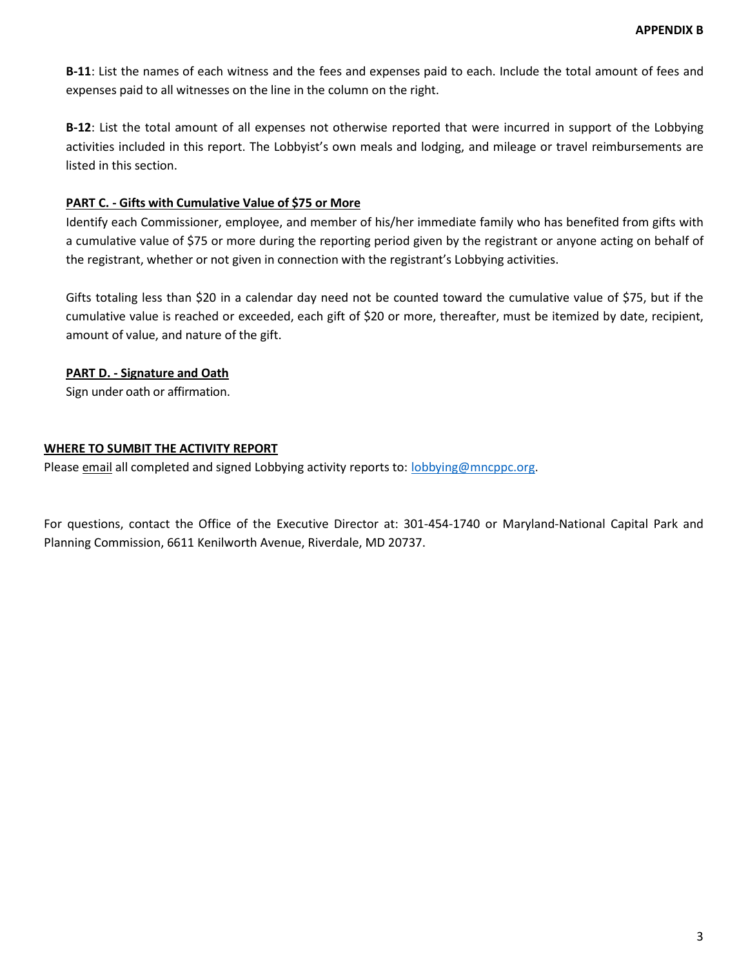**B-11**: List the names of each witness and the fees and expenses paid to each. Include the total amount of fees and expenses paid to all witnesses on the line in the column on the right.

**B-12**: List the total amount of all expenses not otherwise reported that were incurred in support of the Lobbying activities included in this report. The Lobbyist's own meals and lodging, and mileage or travel reimbursements are listed in this section.

### **PART C. - Gifts with Cumulative Value of \$75 or More**

Identify each Commissioner, employee, and member of his/her immediate family who has benefited from gifts with a cumulative value of \$75 or more during the reporting period given by the registrant or anyone acting on behalf of the registrant, whether or not given in connection with the registrant's Lobbying activities.

Gifts totaling less than \$20 in a calendar day need not be counted toward the cumulative value of \$75, but if the cumulative value is reached or exceeded, each gift of \$20 or more, thereafter, must be itemized by date, recipient, amount of value, and nature of the gift.

# **PART D. - Signature and Oath**

Sign under oath or affirmation.

### **WHERE TO SUMBIT THE ACTIVITY REPORT**

Please email all completed and signed Lobbying activity reports to: [lobbying@mncppc.org.](mailto:lobbying@mncppc.org)

For questions, contact the Office of the Executive Director at: 301-454-1740 or Maryland-National Capital Park and Planning Commission, 6611 Kenilworth Avenue, Riverdale, MD 20737.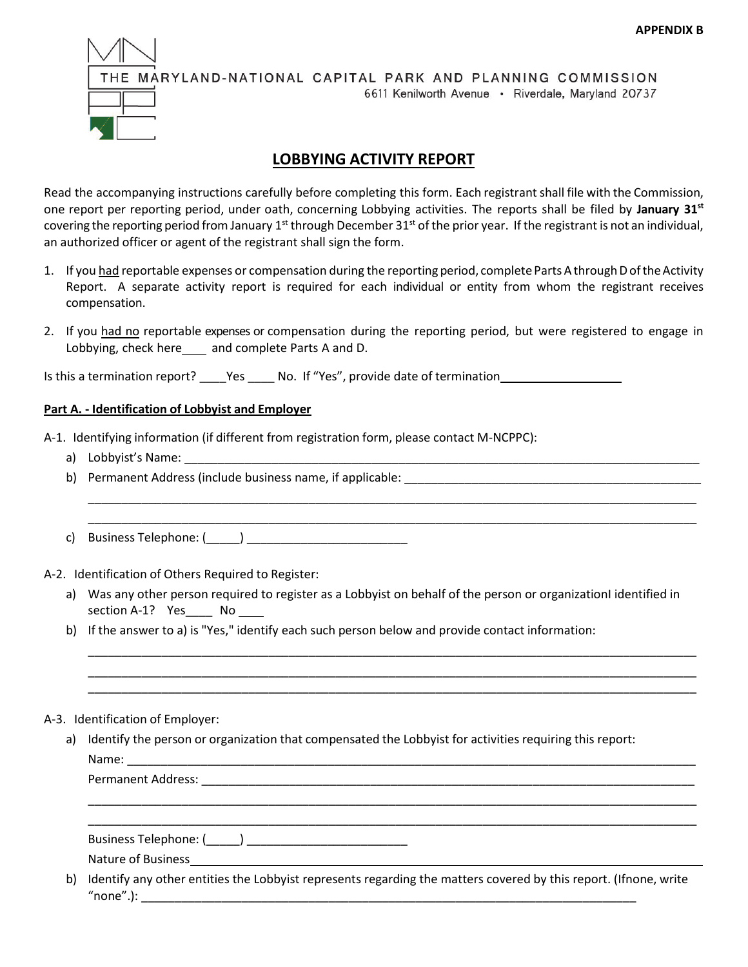

# **LOBBYING ACTIVITY REPORT**

Read the accompanying instructions carefully before completing this form. Each registrantshall file with the Commission, one report per reporting period, under oath, concerning Lobbying activities. The reports shall be filed by **January 31st** covering the reporting period from January 1<sup>st</sup> through December 31<sup>st</sup> of the prior year. If the registrant is not an individual, an authorized officer or agent of the registrant shall sign the form.

- 1. If you had reportable expenses or compensation during the reporting period, complete Parts A through D oftheActivity Report. A separate activity report is required for each individual or entity from whom the registrant receives compensation.
- 2. If you had no reportable expenses or compensation during the reporting period, but were registered to engage in Lobbying, check here\_\_\_\_ and complete Parts A and D.

Is this a termination report? \_\_\_\_Yes \_\_\_\_\_ No. If "Yes", provide date of termination \_\_\_\_\_\_\_\_\_\_\_\_\_\_

### **Part A. - Identification of Lobbyist and Employer**

A-1. Identifying information (if different from registration form, please contact M-NCPPC):

- a) Lobbyist's Name:
- b) Permanent Address (include business name, if applicable: \_\_\_\_\_\_\_\_\_\_\_\_\_\_\_\_\_\_\_\_
- c) Business Telephone: (\_\_\_\_\_) \_\_\_\_\_\_\_\_\_\_\_\_\_\_\_\_\_\_\_\_\_\_\_\_

A-2. Identification of Others Required to Register:

a) Was any other person required to register as a Lobbyist on behalf of the person or organizationI identified in section A-1? Yes No

\_\_\_\_\_\_\_\_\_\_\_\_\_\_\_\_\_\_\_\_\_\_\_\_\_\_\_\_\_\_\_\_\_\_\_\_\_\_\_\_\_\_\_\_\_\_\_\_\_\_\_\_\_\_\_\_\_\_\_\_\_\_\_\_\_\_\_\_\_\_\_\_\_\_\_\_\_\_\_\_\_\_\_\_\_\_\_\_\_\_\_ \_\_\_\_\_\_\_\_\_\_\_\_\_\_\_\_\_\_\_\_\_\_\_\_\_\_\_\_\_\_\_\_\_\_\_\_\_\_\_\_\_\_\_\_\_\_\_\_\_\_\_\_\_\_\_\_\_\_\_\_\_\_\_\_\_\_\_\_\_\_\_\_\_\_\_\_\_\_\_\_\_\_\_\_\_\_\_\_\_\_\_ \_\_\_\_\_\_\_\_\_\_\_\_\_\_\_\_\_\_\_\_\_\_\_\_\_\_\_\_\_\_\_\_\_\_\_\_\_\_\_\_\_\_\_\_\_\_\_\_\_\_\_\_\_\_\_\_\_\_\_\_\_\_\_\_\_\_\_\_\_\_\_\_\_\_\_\_\_\_\_\_\_\_\_\_\_\_\_\_\_\_\_

\_\_\_\_\_\_\_\_\_\_\_\_\_\_\_\_\_\_\_\_\_\_\_\_\_\_\_\_\_\_\_\_\_\_\_\_\_\_\_\_\_\_\_\_\_\_\_\_\_\_\_\_\_\_\_\_\_\_\_\_\_\_\_\_\_\_\_\_\_\_\_\_\_\_\_\_\_\_\_\_\_\_\_\_\_\_\_\_\_\_\_ \_\_\_\_\_\_\_\_\_\_\_\_\_\_\_\_\_\_\_\_\_\_\_\_\_\_\_\_\_\_\_\_\_\_\_\_\_\_\_\_\_\_\_\_\_\_\_\_\_\_\_\_\_\_\_\_\_\_\_\_\_\_\_\_\_\_\_\_\_\_\_\_\_\_\_\_\_\_\_\_\_\_\_\_\_\_\_\_\_\_\_

\_\_\_\_\_\_\_\_\_\_\_\_\_\_\_\_\_\_\_\_\_\_\_\_\_\_\_\_\_\_\_\_\_\_\_\_\_\_\_\_\_\_\_\_\_\_\_\_\_\_\_\_\_\_\_\_\_\_\_\_\_\_\_\_\_\_\_\_\_\_\_\_\_\_\_\_\_\_\_\_\_\_\_\_\_\_\_\_\_\_\_ \_\_\_\_\_\_\_\_\_\_\_\_\_\_\_\_\_\_\_\_\_\_\_\_\_\_\_\_\_\_\_\_\_\_\_\_\_\_\_\_\_\_\_\_\_\_\_\_\_\_\_\_\_\_\_\_\_\_\_\_\_\_\_\_\_\_\_\_\_\_\_\_\_\_\_\_\_\_\_\_\_\_\_\_\_\_\_\_\_\_\_

b) If the answer to a) is "Yes," identify each such person below and provide contact information:

### A-3. Identification of Employer:

a) Identify the person or organization that compensated the Lobbyist for activities requiring this report: Name: \_\_\_\_\_\_\_\_\_\_\_\_\_\_\_\_\_\_\_\_\_\_\_\_\_\_\_\_\_\_\_\_\_\_\_\_\_\_\_\_\_\_\_\_\_\_\_\_\_\_\_\_\_\_\_\_\_\_\_\_\_\_\_\_\_\_\_\_\_\_\_\_\_\_\_\_\_\_\_\_\_\_\_\_\_

Permanent Address: \_\_\_\_\_\_\_\_\_\_\_\_\_\_\_\_\_\_\_\_\_\_\_\_\_\_\_\_\_\_\_\_\_\_\_\_\_\_\_\_\_\_\_\_\_\_\_\_\_\_\_\_\_\_\_\_\_\_\_\_\_\_\_\_\_\_\_\_\_\_\_\_\_

Business Telephone: (\_\_\_\_\_) \_\_\_\_\_\_\_\_\_\_\_\_\_\_\_\_\_\_\_\_\_\_\_\_

Nature of Business

b) Identify any other entities the Lobbyist represents regarding the matters covered by this report. (Ifnone, write "none".): \_\_\_\_\_\_\_\_\_\_\_\_\_\_\_\_\_\_\_\_\_\_\_\_\_\_\_\_\_\_\_\_\_\_\_\_\_\_\_\_\_\_\_\_\_\_\_\_\_\_\_\_\_\_\_\_\_\_\_\_\_\_\_\_\_\_\_\_\_\_\_\_\_\_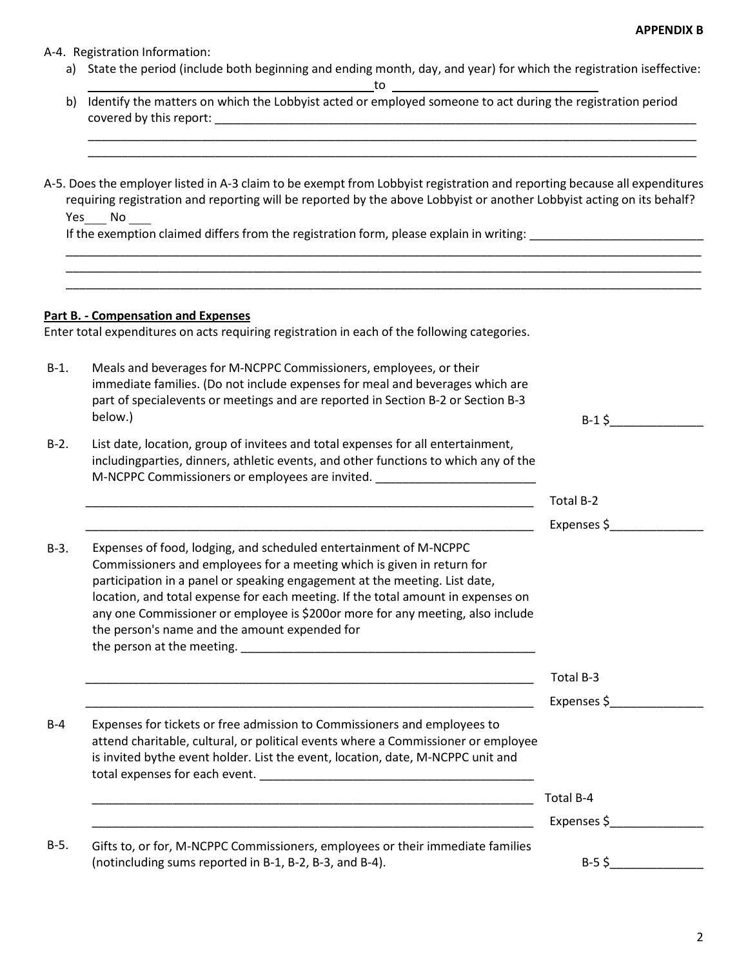#### A-4. Registration Information:

a) State the period (include both beginning and ending month, day, and year) for which the registration iseffective:

\_\_\_\_\_\_\_\_\_\_\_\_\_\_\_\_\_\_\_\_\_\_\_\_\_\_\_\_\_\_\_\_\_\_\_\_\_\_\_\_\_\_\_\_\_\_\_\_\_\_\_\_\_\_\_\_\_\_\_\_\_\_\_\_\_\_\_\_\_\_\_\_\_\_\_\_\_\_\_\_\_\_\_\_\_\_\_\_\_\_\_

to

- b) Identify the matters on which the Lobbyist acted or employed someone to act during the registration period covered by this report:
- A-5. Does the employer listed in A-3 claim to be exempt from Lobbyist registration and reporting because all expenditures requiring registration and reporting will be reported by the above Lobbyist or another Lobbyist acting on its behalf? Yes No

\_\_\_\_\_\_\_\_\_\_\_\_\_\_\_\_\_\_\_\_\_\_\_\_\_\_\_\_\_\_\_\_\_\_\_\_\_\_\_\_\_\_\_\_\_\_\_\_\_\_\_\_\_\_\_\_\_\_\_\_\_\_\_\_\_\_\_\_\_\_\_\_\_\_\_\_\_\_\_\_\_\_\_\_\_\_\_\_\_\_\_\_\_\_\_ \_\_\_\_\_\_\_\_\_\_\_\_\_\_\_\_\_\_\_\_\_\_\_\_\_\_\_\_\_\_\_\_\_\_\_\_\_\_\_\_\_\_\_\_\_\_\_\_\_\_\_\_\_\_\_\_\_\_\_\_\_\_\_\_\_\_\_\_\_\_\_\_\_\_\_\_\_\_\_\_\_\_\_\_\_\_\_\_\_\_\_\_\_\_\_ \_\_\_\_\_\_\_\_\_\_\_\_\_\_\_\_\_\_\_\_\_\_\_\_\_\_\_\_\_\_\_\_\_\_\_\_\_\_\_\_\_\_\_\_\_\_\_\_\_\_\_\_\_\_\_\_\_\_\_\_\_\_\_\_\_\_\_\_\_\_\_\_\_\_\_\_\_\_\_\_\_\_\_\_\_\_\_\_\_\_\_\_\_\_\_

If the exemption claimed differs from the registration form, please explain in writing:

### **Part B. - Compensation and Expenses**

Enter total expenditures on acts requiring registration in each of the following categories.

| $B-1.$ | Meals and beverages for M-NCPPC Commissioners, employees, or their<br>immediate families. (Do not include expenses for meal and beverages which are<br>part of specialevents or meetings and are reported in Section B-2 or Section B-3                                                                                                                                                                                                          |             |
|--------|--------------------------------------------------------------------------------------------------------------------------------------------------------------------------------------------------------------------------------------------------------------------------------------------------------------------------------------------------------------------------------------------------------------------------------------------------|-------------|
|        | below.)                                                                                                                                                                                                                                                                                                                                                                                                                                          | $B-1$ \$    |
| $B-2.$ | List date, location, group of invitees and total expenses for all entertainment,<br>includingparties, dinners, athletic events, and other functions to which any of the<br>M-NCPPC Commissioners or employees are invited. ________________________________                                                                                                                                                                                      |             |
|        |                                                                                                                                                                                                                                                                                                                                                                                                                                                  | Total B-2   |
|        | <u> 1989 - Johann John Stoff, deutscher Stoffen und der Stoffen und der Stoffen und der Stoffen und der Stoffen</u>                                                                                                                                                                                                                                                                                                                              | Expenses \$ |
| $B-3.$ | Expenses of food, lodging, and scheduled entertainment of M-NCPPC<br>Commissioners and employees for a meeting which is given in return for<br>participation in a panel or speaking engagement at the meeting. List date,<br>location, and total expense for each meeting. If the total amount in expenses on<br>any one Commissioner or employee is \$200or more for any meeting, also include<br>the person's name and the amount expended for |             |
|        |                                                                                                                                                                                                                                                                                                                                                                                                                                                  | Total B-3   |
|        | <u> 1990 - Andrea Stadt Britain, amerikan berlandar berlandar berlandar berlanda berlanda berlanda berlanda berl</u>                                                                                                                                                                                                                                                                                                                             | Expenses \$ |
| $B-4$  | Expenses for tickets or free admission to Commissioners and employees to<br>attend charitable, cultural, or political events where a Commissioner or employee<br>is invited bythe event holder. List the event, location, date, M-NCPPC unit and                                                                                                                                                                                                 |             |
|        | <u> 1989 - Johann Stoff, amerikansk politiker (d. 1989)</u>                                                                                                                                                                                                                                                                                                                                                                                      | Total B-4   |
|        |                                                                                                                                                                                                                                                                                                                                                                                                                                                  | Expenses \$ |
| $B-5.$ | Gifts to, or for, M-NCPPC Commissioners, employees or their immediate families                                                                                                                                                                                                                                                                                                                                                                   |             |
|        | (notincluding sums reported in B-1, B-2, B-3, and B-4).                                                                                                                                                                                                                                                                                                                                                                                          | $B-5$ \$    |